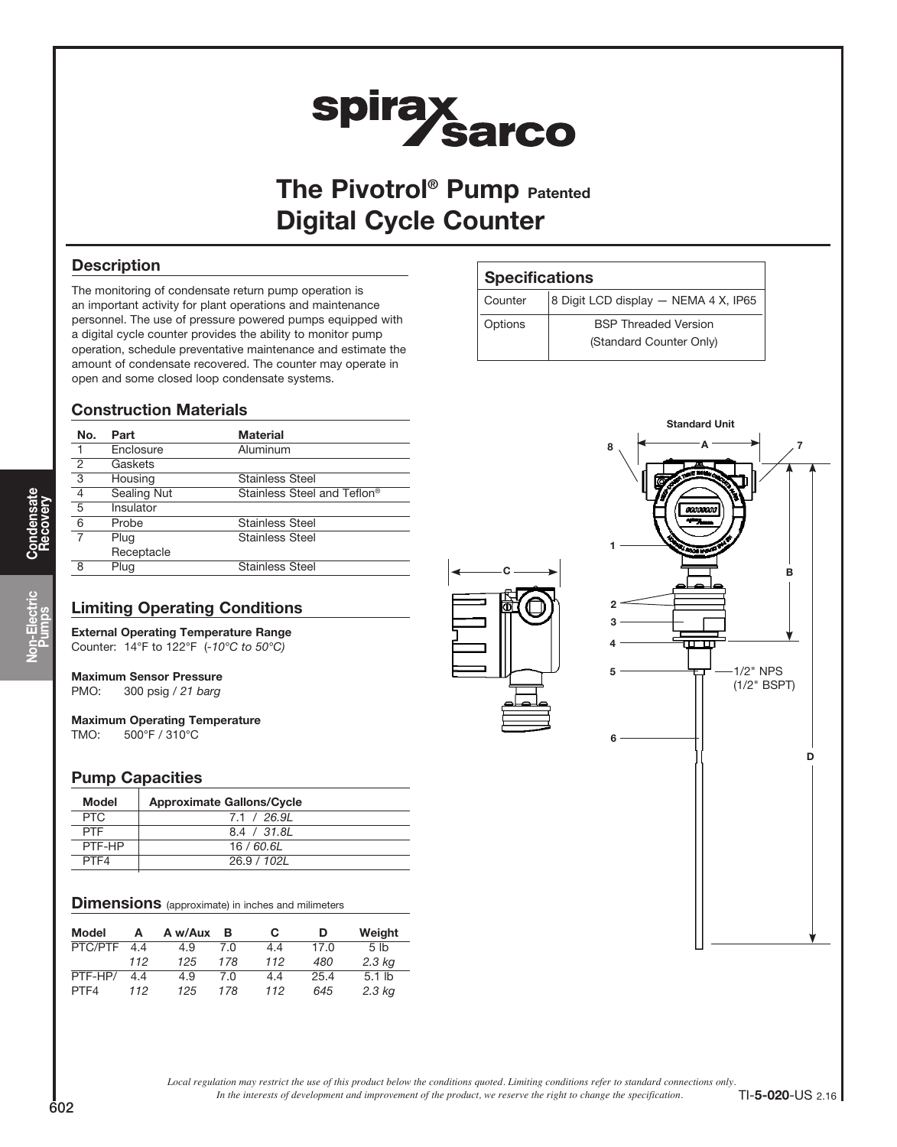# spirax<br>Sarco

The Pivotrol<sup>®</sup> Pump Patented Digital Cycle Counter

# **Description**

The monitoring of condensate return pump operation is an important activity for plant operations and maintenance personnel. The use of pressure powered pumps equipped with a digital cycle counter provides the ability to monitor pump operation, schedule preventative maintenance and estimate the amount of condensate recovered. The counter may operate in open and some closed loop condensate systems.

# Construction Materials

| No.            | Part        | <b>Material</b>             |
|----------------|-------------|-----------------------------|
|                | Enclosure   | Aluminum                    |
| $\overline{2}$ | Gaskets     |                             |
| $\overline{3}$ | Housing     | <b>Stainless Steel</b>      |
| $\overline{4}$ | Sealing Nut | Stainless Steel and Teflon® |
| $\overline{5}$ | Insulator   |                             |
| 6              | Probe       | Stainless Steel             |
|                | Plug        | <b>Stainless Steel</b>      |
|                | Receptacle  |                             |
| 8              | Plug        | Stainless Steel             |

# Limiting Operating Conditions

External Operating Temperature Range Counter: 14°F to 122°F (-10°C to 50°C)

# Maximum Sensor Pressure

PMO: 300 psig / 21 barg

Maximum Operating Temperature TMO: 500°F / 310°C

# Pump Capacities

| Model      | <b>Approximate Gallons/Cycle</b> |
|------------|----------------------------------|
| <b>PTC</b> | 7.1 / 26.91                      |
| <b>PTF</b> | 8.4 / 31.8L                      |
| PTF-HP     | 16/60.6L                         |
| PTF4       | 26.9 / 102L                      |
|            |                                  |

#### **Dimensions** (approximate) in inches and milimeters

| <b>Model</b> | A   | A w/Aux | в   | C   | D    | Weight          |
|--------------|-----|---------|-----|-----|------|-----------------|
| PTC/PTF      | 44  | 4.9     | 7.0 | 4.4 | 17.0 | 5 <sub>1b</sub> |
|              | 112 | 125     | 178 | 112 | 480  | $2.3$ kg        |
| PTF-HP/      | 4.4 | 4.9     | 7.0 | 4.4 | 25.4 | $5.1$ lb        |
| PTF4         | 112 | 125     | 178 | 112 | 645  | $2.3$ kg        |

# **Specifications**

| Counter | 8 Digit LCD display - NEMA 4 X, IP65 |  |  |
|---------|--------------------------------------|--|--|
| Options | <b>BSP Threaded Version</b>          |  |  |
|         | (Standard Counter Only)              |  |  |
|         |                                      |  |  |



*Local regulation may restrict the use of this product below the conditions quoted. Limiting conditions refer to standard connections only.*